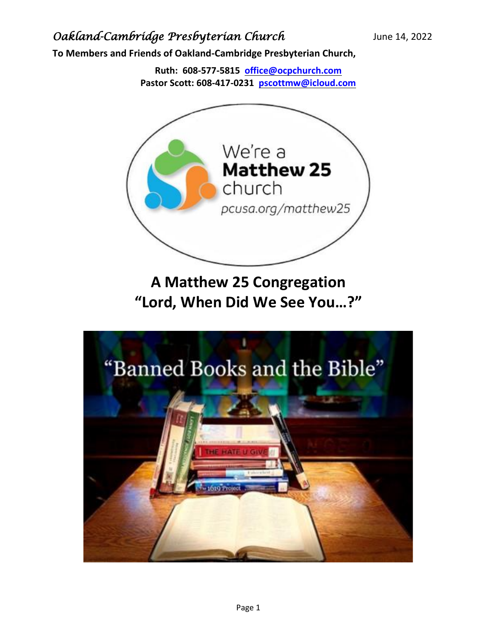**To Members and Friends of Oakland-Cambridge Presbyterian Church,**

**Ruth: 608-577-5815 [office@ocpchurch.com](mailto:office@ocpchurch.com) Pastor Scott: 608-417-0231 [pscottmw@icloud.com](mailto:pscottmw@icloud.com)**



**A Matthew 25 Congregation "Lord, When Did We See You…?"**

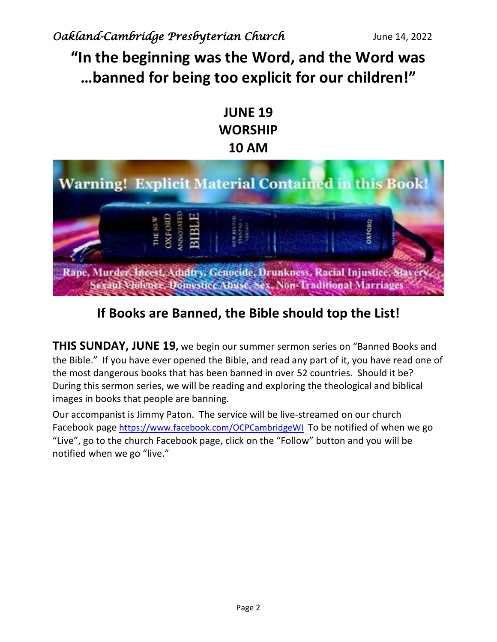# **"In the beginning was the Word, and the Word was …banned for being too explicit for our children!"**

## **JUNE 19 WORSHIP 10 AM**



# **If Books are Banned, the Bible should top the List!**

**THIS SUNDAY, JUNE 19,** we begin our summer sermon series on "Banned Books and the Bible." If you have ever opened the Bible, and read any part of it, you have read one of the most dangerous books that has been banned in over 52 countries. Should it be? During this sermon series, we will be reading and exploring the theological and biblical images in books that people are banning.

Our accompanist is Jimmy Paton. The service will be live-streamed on our church Facebook page <https://www.facebook.com/OCPCambridgeWI> To be notified of when we go "Live", go to the church Facebook page, click on the "Follow" button and you will be notified when we go "live."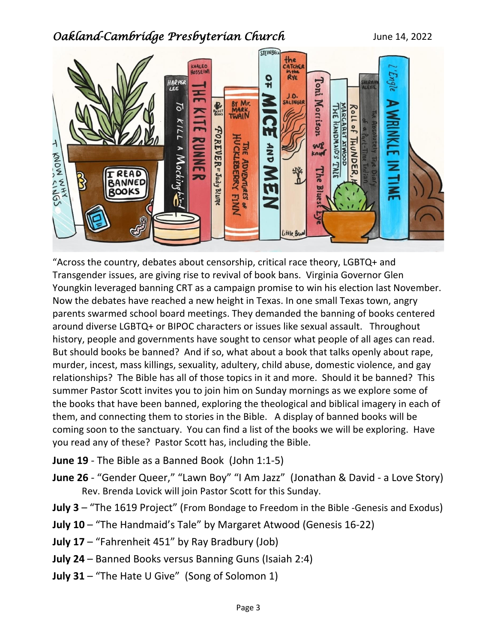

"Across the country, debates about censorship, critical race theory, LGBTQ+ and Transgender issues, are giving rise to revival of book bans. Virginia Governor Glen Youngkin leveraged banning CRT as a campaign promise to win his election last November. Now the debates have reached a new height in Texas. In one small Texas town, angry parents swarmed school board meetings. They demanded the banning of books centered around diverse LGBTQ+ or BIPOC characters or issues like sexual assault. Throughout history, people and governments have sought to censor what people of all ages can read. But should books be banned? And if so, what about a book that talks openly about rape, murder, incest, mass killings, sexuality, adultery, child abuse, domestic violence, and gay relationships? The Bible has all of those topics in it and more. Should it be banned? This summer Pastor Scott invites you to join him on Sunday mornings as we explore some of the books that have been banned, exploring the theological and biblical imagery in each of them, and connecting them to stories in the Bible. A display of banned books will be coming soon to the sanctuary. You can find a list of the books we will be exploring. Have you read any of these? Pastor Scott has, including the Bible.

- **June 19** The Bible as a Banned Book (John 1:1-5)
- **June 26** "Gender Queer," "Lawn Boy" "I Am Jazz" (Jonathan & David a Love Story) Rev. Brenda Lovick will join Pastor Scott for this Sunday.
- **July 3** "The 1619 Project" (From Bondage to Freedom in the Bible -Genesis and Exodus)
- **July 10** "The Handmaid's Tale" by Margaret Atwood (Genesis 16-22)
- **July 17** "Fahrenheit 451" by Ray Bradbury (Job)
- **July 24** Banned Books versus Banning Guns (Isaiah 2:4)
- **July 31** "The Hate U Give" (Song of Solomon 1)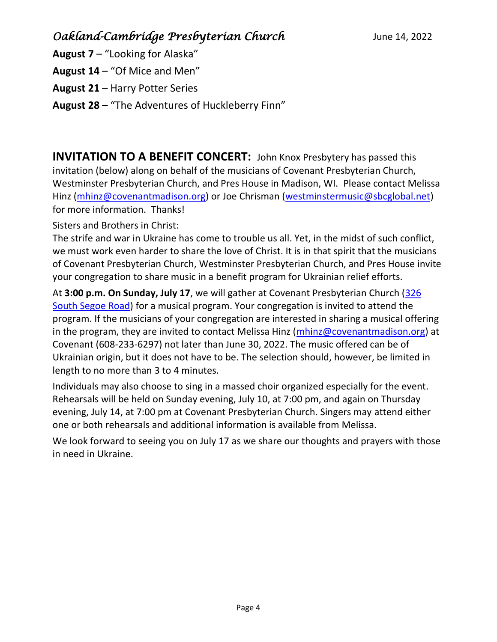- **August 7** "Looking for Alaska"
- **August 14** "Of Mice and Men"
- **August 21** Harry Potter Series
- **August 28** "The Adventures of Huckleberry Finn"

**INVITATION TO A BENEFIT CONCERT:** John Knox Presbytery has passed this invitation (below) along on behalf of the musicians of Covenant Presbyterian Church, Westminster Presbyterian Church, and Pres House in Madison, WI. Please contact Melissa Hinz [\(mhinz@covenantmadison.org\)](mailto:mhinz@covenantmadison.org) or Joe Chrisman [\(westminstermusic@sbcglobal.net\)](mailto:westminstermusic@sbcglobal.net) for more information. Thanks!

Sisters and Brothers in Christ:

The strife and war in Ukraine has come to trouble us all. Yet, in the midst of such conflict, we must work even harder to share the love of Christ. It is in that spirit that the musicians of Covenant Presbyterian Church, Westminster Presbyterian Church, and Pres House invite your congregation to share music in a benefit program for Ukrainian relief efforts.

At **3:00 p.m. On Sunday, July 17**, we will gather at Covenant Presbyterian Church [\(326](https://www.google.com/maps/search/326+South+Segoe+Road?entry=gmail&source=g)  [South Segoe Road\)](https://www.google.com/maps/search/326+South+Segoe+Road?entry=gmail&source=g) for a musical program. Your congregation is invited to attend the program. If the musicians of your congregation are interested in sharing a musical offering in the program, they are invited to contact Melissa Hinz  $(mhinz@covenantmadison.org)$  at Covenant (608-233-6297) not later than June 30, 2022. The music offered can be of Ukrainian origin, but it does not have to be. The selection should, however, be limited in length to no more than 3 to 4 minutes.

Individuals may also choose to sing in a massed choir organized especially for the event. Rehearsals will be held on Sunday evening, July 10, at 7:00 pm, and again on Thursday evening, July 14, at 7:00 pm at Covenant Presbyterian Church. Singers may attend either one or both rehearsals and additional information is available from Melissa.

We look forward to seeing you on July 17 as we share our thoughts and prayers with those in need in Ukraine.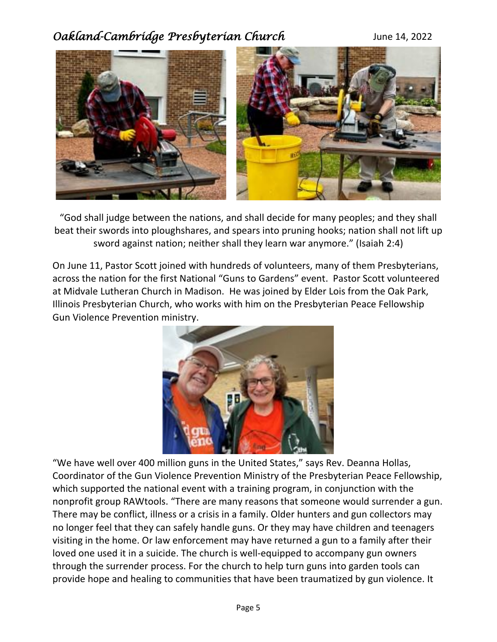

"God shall judge between the nations, and shall decide for many peoples; and they shall beat their swords into ploughshares, and spears into pruning hooks; nation shall not lift up sword against nation; neither shall they learn war anymore." (Isaiah 2:4)

On June 11, Pastor Scott joined with hundreds of volunteers, many of them Presbyterians, across the nation for the first National "Guns to Gardens" event. Pastor Scott volunteered at Midvale Lutheran Church in Madison. He was joined by Elder Lois from the Oak Park, Illinois Presbyterian Church, who works with him on the Presbyterian Peace Fellowship Gun Violence Prevention ministry.



"We have well over 400 million guns in the United States," says Rev. Deanna Hollas, Coordinator of the Gun Violence Prevention Ministry of the Presbyterian Peace Fellowship, which supported the national event with a training program, in conjunction with the nonprofit group RAWtools. "There are many reasons that someone would surrender a gun. There may be conflict, illness or a crisis in a family. Older hunters and gun collectors may no longer feel that they can safely handle guns. Or they may have children and teenagers visiting in the home. Or law enforcement may have returned a gun to a family after their loved one used it in a suicide. The church is well-equipped to accompany gun owners through the surrender process. For the church to help turn guns into garden tools can provide hope and healing to communities that have been traumatized by gun violence. It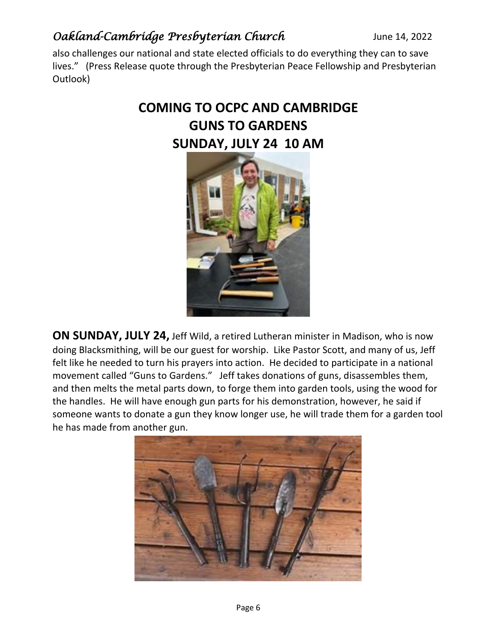also challenges our national and state elected officials to do everything they can to save lives." (Press Release quote through the Presbyterian Peace Fellowship and Presbyterian Outlook)

# **COMING TO OCPC AND CAMBRIDGE GUNS TO GARDENS SUNDAY, JULY 24 10 AM**



**ON SUNDAY, JULY 24,** Jeff Wild, a retired Lutheran minister in Madison, who is now doing Blacksmithing, will be our guest for worship. Like Pastor Scott, and many of us, Jeff felt like he needed to turn his prayers into action. He decided to participate in a national movement called "Guns to Gardens." Jeff takes donations of guns, disassembles them, and then melts the metal parts down, to forge them into garden tools, using the wood for the handles. He will have enough gun parts for his demonstration, however, he said if someone wants to donate a gun they know longer use, he will trade them for a garden tool he has made from another gun.

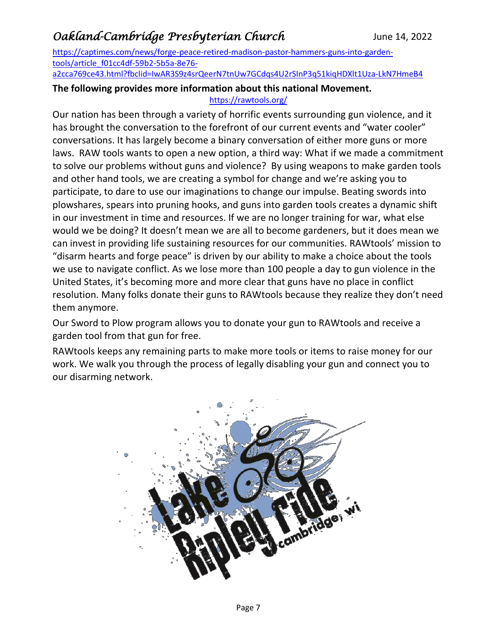[https://captimes.com/news/forge-peace-retired-madison-pastor-hammers-guns-into-garden](https://captimes.com/news/forge-peace-retired-madison-pastor-hammers-guns-into-garden-tools/article_f01cc4df-59b2-5b5a-8e76-a2cca769ce43.html?fbclid=IwAR3S9z4srQeerN7tnUw7GCdqs4U2rSInP3q51kiqHDXlt1Uza-LkN7HmeB4)[tools/article\\_f01cc4df-59b2-5b5a-8e76-](https://captimes.com/news/forge-peace-retired-madison-pastor-hammers-guns-into-garden-tools/article_f01cc4df-59b2-5b5a-8e76-a2cca769ce43.html?fbclid=IwAR3S9z4srQeerN7tnUw7GCdqs4U2rSInP3q51kiqHDXlt1Uza-LkN7HmeB4)

[a2cca769ce43.html?fbclid=IwAR3S9z4srQeerN7tnUw7GCdqs4U2rSInP3q51kiqHDXlt1Uza-LkN7HmeB4](https://captimes.com/news/forge-peace-retired-madison-pastor-hammers-guns-into-garden-tools/article_f01cc4df-59b2-5b5a-8e76-a2cca769ce43.html?fbclid=IwAR3S9z4srQeerN7tnUw7GCdqs4U2rSInP3q51kiqHDXlt1Uza-LkN7HmeB4)

#### **The following provides more information about this national Movement.**  <https://rawtools.org/>

Our nation has been through a variety of horrific events surrounding gun violence, and it has brought the conversation to the forefront of our current events and "water cooler" conversations. It has largely become a binary conversation of either more guns or more laws. RAW tools wants to open a new option, a third way: What if we made a commitment to solve our problems without guns and violence? By using weapons to make garden tools and other hand tools, we are creating a symbol for change and we're asking you to participate, to dare to use our imaginations to change our impulse. Beating swords into plowshares, spears into pruning hooks, and guns into garden tools creates a dynamic shift in our investment in time and resources. If we are no longer training for war, what else would we be doing? It doesn't mean we are all to become gardeners, but it does mean we can invest in providing life sustaining resources for our communities. RAWtools' mission to "disarm hearts and forge peace" is driven by our ability to make a choice about the tools we use to navigate conflict. As we lose more than 100 people a day to gun violence in the United States, it's becoming more and more clear that guns have no place in conflict resolution. Many folks donate their guns to RAWtools because they realize they don't need them anymore.

Our Sword to Plow program allows you to donate your gun to RAWtools and receive a garden tool from that gun for free.

RAWtools keeps any remaining parts to make more tools or items to raise money for our work. We walk you through the process of legally disabling your gun and connect you to our disarming network.

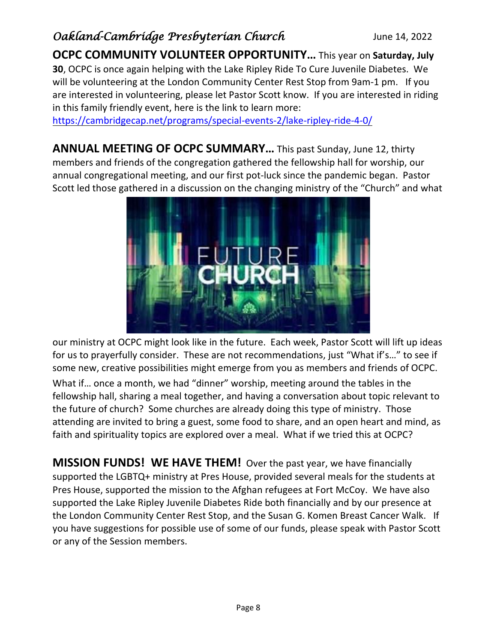**OCPC COMMUNITY VOLUNTEER OPPORTUNITY…** This year on **Saturday, July 30**, OCPC is once again helping with the Lake Ripley Ride To Cure Juvenile Diabetes. We will be volunteering at the London Community Center Rest Stop from 9am-1 pm. If you are interested in volunteering, please let Pastor Scott know. If you are interested in riding in this family friendly event, here is the link to learn more:

<https://cambridgecap.net/programs/special-events-2/lake-ripley-ride-4-0/>

**ANNUAL MEETING OF OCPC SUMMARY…** This past Sunday, June 12, thirty members and friends of the congregation gathered the fellowship hall for worship, our annual congregational meeting, and our first pot-luck since the pandemic began. Pastor Scott led those gathered in a discussion on the changing ministry of the "Church" and what



our ministry at OCPC might look like in the future. Each week, Pastor Scott will lift up ideas for us to prayerfully consider. These are not recommendations, just "What if's…" to see if some new, creative possibilities might emerge from you as members and friends of OCPC. What if… once a month, we had "dinner" worship, meeting around the tables in the fellowship hall, sharing a meal together, and having a conversation about topic relevant to the future of church? Some churches are already doing this type of ministry. Those attending are invited to bring a guest, some food to share, and an open heart and mind, as faith and spirituality topics are explored over a meal. What if we tried this at OCPC?

**MISSION FUNDS! WE HAVE THEM!** Over the past year, we have financially supported the LGBTQ+ ministry at Pres House, provided several meals for the students at Pres House, supported the mission to the Afghan refugees at Fort McCoy. We have also supported the Lake Ripley Juvenile Diabetes Ride both financially and by our presence at the London Community Center Rest Stop, and the Susan G. Komen Breast Cancer Walk. If you have suggestions for possible use of some of our funds, please speak with Pastor Scott or any of the Session members.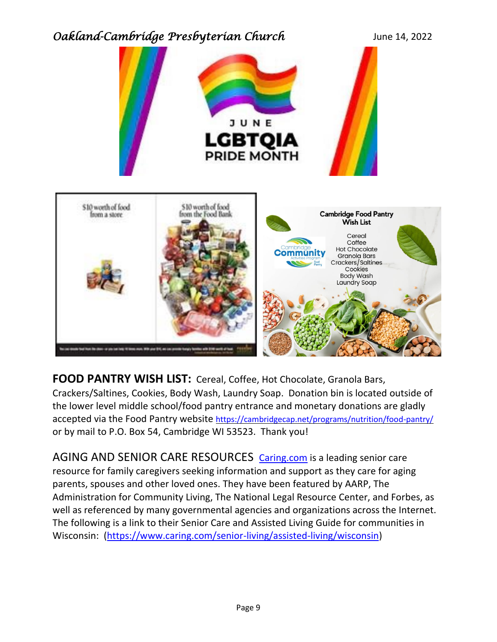



**FOOD PANTRY WISH LIST:** Cereal, Coffee, Hot Chocolate, Granola Bars, Crackers/Saltines, Cookies, Body Wash, Laundry Soap. Donation bin is located outside of the lower level middle school/food pantry entrance and monetary donations are gladly accepted via the Food Pantry website <https://cambridgecap.net/programs/nutrition/food-pantry/> or by mail to P.O. Box 54, Cambridge WI 53523. Thank you!

AGING AND SENIOR CARE RESOURCES [Caring.com](http://caring.com/) is a leading senior care resource for family caregivers seeking information and support as they care for aging parents, spouses and other loved ones. They have been featured by AARP, The Administration for Community Living, The National Legal Resource Center, and Forbes, as well as referenced by many governmental agencies and organizations across the Internet. The following is a link to their Senior Care and Assisted Living Guide for communities in Wisconsin: [\(https://www.caring.com/senior-living/assisted-living/wisconsin\)](https://www.caring.com/senior-living/assisted-living/wisconsin)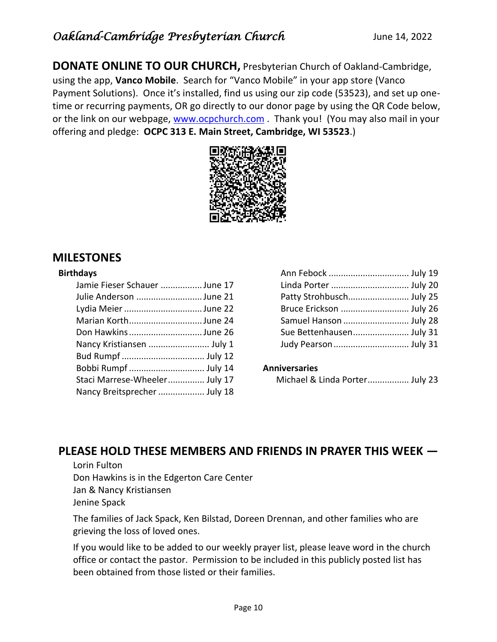**DONATE ONLINE TO OUR CHURCH,** Presbyterian Church of Oakland-Cambridge, using the app, **Vanco Mobile**. Search for "Vanco Mobile" in your app store (Vanco Payment Solutions). Once it's installed, find us using our zip code (53523), and set up onetime or recurring payments, OR go directly to our donor page by using the QR Code below, or the link on our webpage, [www.ocpchurch.com](http://www.ocpchurch.com/). Thank you! (You may also mail in your offering and pledge: **OCPC 313 E. Main Street, Cambridge, WI 53523**.)



### **MILESTONES**

#### **Birthdays**

| Jamie Fieser Schauer June 17  |  |
|-------------------------------|--|
| Julie Anderson June 21        |  |
| Lydia Meier June 22           |  |
| Marian KorthJune 24           |  |
| Don Hawkins June 26           |  |
| Nancy Kristiansen  July 1     |  |
|                               |  |
| Bobbi Rumpf  July 14          |  |
| Staci Marrese-Wheeler July 17 |  |
| Nancy Breitsprecher  July 18  |  |
|                               |  |

| Linda Porter  July 20    |  |
|--------------------------|--|
| Patty Strohbusch July 25 |  |
| Bruce Erickson  July 26  |  |
| Samuel Hanson  July 28   |  |
| Sue Bettenhausen July 31 |  |
| Judy Pearson  July 31    |  |
|                          |  |

#### **Anniversaries**

| Michael & Linda Porter July 23 |  |  |
|--------------------------------|--|--|
|--------------------------------|--|--|

### **PLEASE HOLD THESE MEMBERS AND FRIENDS IN PRAYER THIS WEEK —**

Lorin Fulton Don Hawkins is in the Edgerton Care Center Jan & Nancy Kristiansen Jenine Spack

The families of Jack Spack, Ken Bilstad, Doreen Drennan, and other families who are grieving the loss of loved ones.

If you would like to be added to our weekly prayer list, please leave word in the church office or contact the pastor. Permission to be included in this publicly posted list has been obtained from those listed or their families.